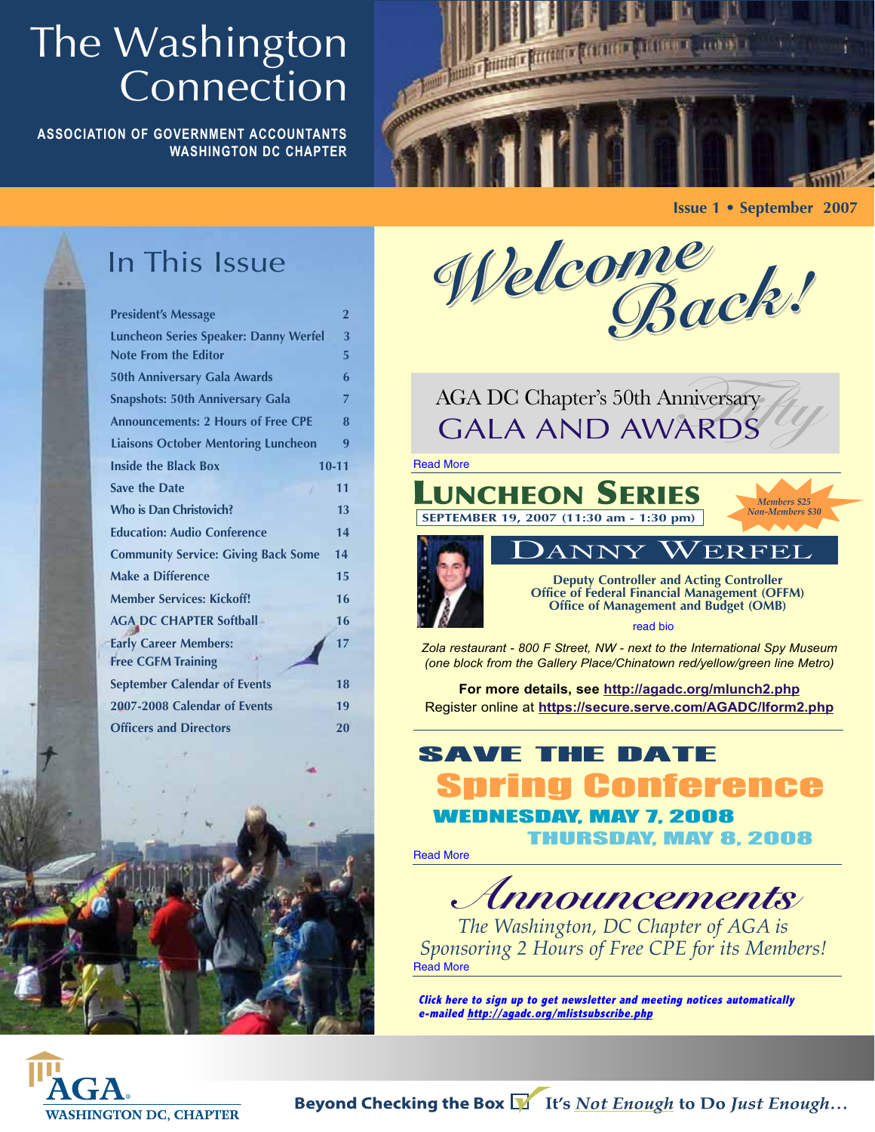## The Washington Connection

**ASSOCIATION OF GOVERNMENT ACCOUNTANTS WASHINGTON DC CHAPTER**



**Issue 1 • September 2007**

## In This Issue

| <b>President's Message</b>                                                  | $\overline{2}$ |  |  |  |
|-----------------------------------------------------------------------------|----------------|--|--|--|
| <b>Luncheon Series Speaker: Danny Werfel</b><br><b>Note From the Editor</b> | 3<br>5         |  |  |  |
| <b>50th Anniversary Gala Awards</b>                                         | 6              |  |  |  |
| <b>Snapshots: 50th Anniversary Gala</b>                                     | 7              |  |  |  |
| <b>Announcements: 2 Hours of Free CPE</b>                                   |                |  |  |  |
| <b>Liaisons October Mentoring Luncheon</b>                                  | 9              |  |  |  |
| <b>Inside the Black Box</b>                                                 | $10 - 11$      |  |  |  |
| <b>Save the Date</b>                                                        | 11             |  |  |  |
| <b>Who is Dan Christovich?</b>                                              | 13             |  |  |  |
| <b>Education: Audio Conference</b>                                          | 14             |  |  |  |
| <b>Community Service: Giving Back Some</b>                                  | 14             |  |  |  |
| <b>Make a Difference</b>                                                    | 15             |  |  |  |
| <b>Member Services: Kickoff!</b>                                            | 16             |  |  |  |
| <b>AGA DC CHAPTER Softball</b>                                              | 16             |  |  |  |
| <b>Early Career Members:</b>                                                | 17             |  |  |  |
| <b>Free CGFM Training</b>                                                   |                |  |  |  |
| <b>September Calendar of Events</b>                                         | 18             |  |  |  |
| 2007-2008 Calendar of Events                                                | 19             |  |  |  |
| <b>Officers and Directors</b>                                               | 20             |  |  |  |
|                                                                             |                |  |  |  |



AGA DC Chapter's 50th Anniversary GALA AND AWARDS

Read More



**Office of Federal Financial Management (OFFM) Office of Management and Budget (OMB)**

read bio

*Zola restaurant - 800 F Street, NW - next to the International Spy Museum (one block from the Gallery Place/Chinatown red/yellow/green line Metro)*

**For more details, see http://agadc.org/mlunch2.php** Register online at **https://secure.serve.com/AGADC/lform2.php**

## Spring Conference SAVE THE DATE

W. MAY 7, 2008

THURSDAY, MAY 8, 2008

Read More

**Announcements**

*The Washington, DC Chapter of AGA is Sponsoring 2 Hours of Free CPE for its Members!* Read More

**Click here to sign up to get newsletter and meeting notices automatically e-mailed http://agadc.org/mlistsubscribe.php**

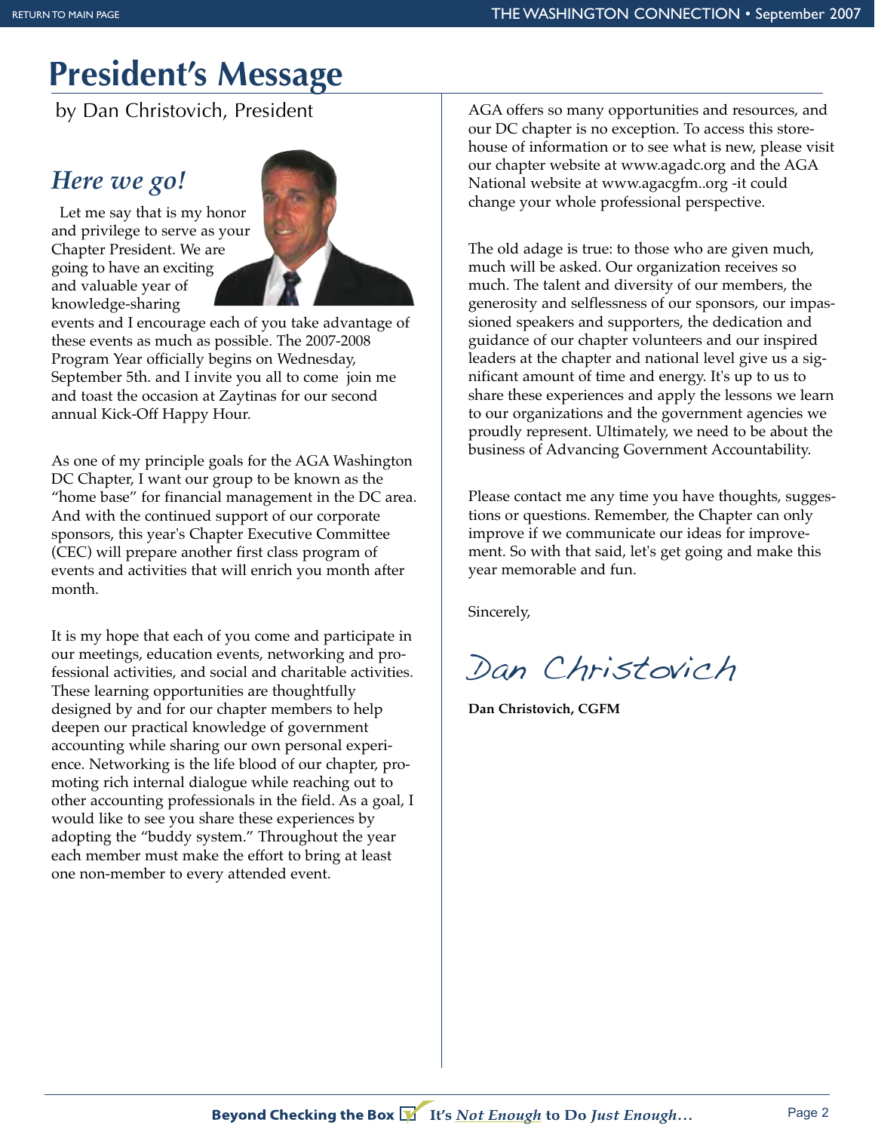## **President's Message**

by Dan Christovich, President

#### *Here we go!*

Let me say that is my honor and privilege to serve as your Chapter President. We are going to have an exciting and valuable year of knowledge-sharing



events and I encourage each of you take advantage of these events as much as possible. The 2007-2008 Program Year officially begins on Wednesday, September 5th. and I invite you all to come join me and toast the occasion at Zaytinas for our second annual Kick-Off Happy Hour.

As one of my principle goals for the AGA Washington DC Chapter, I want our group to be known as the "home base" for financial management in the DC area. And with the continued support of our corporate sponsors, this year's Chapter Executive Committee (CEC) will prepare another first class program of events and activities that will enrich you month after month.

It is my hope that each of you come and participate in our meetings, education events, networking and professional activities, and social and charitable activities. These learning opportunities are thoughtfully designed by and for our chapter members to help deepen our practical knowledge of government accounting while sharing our own personal experience. Networking is the life blood of our chapter, promoting rich internal dialogue while reaching out to other accounting professionals in the field. As a goal, I would like to see you share these experiences by adopting the "buddy system." Throughout the year each member must make the effort to bring at least one non-member to every attended event.

AGA offers so many opportunities and resources, and our DC chapter is no exception. To access this storehouse of information or to see what is new, please visit our chapter website at www.agadc.org and the AGA National website at www.agacgfm..org -it could change your whole professional perspective.

The old adage is true: to those who are given much, much will be asked. Our organization receives so much. The talent and diversity of our members, the generosity and selflessness of our sponsors, our impassioned speakers and supporters, the dedication and guidance of our chapter volunteers and our inspired leaders at the chapter and national level give us a significant amount of time and energy. It's up to us to share these experiences and apply the lessons we learn to our organizations and the government agencies we proudly represent. Ultimately, we need to be about the business of Advancing Government Accountability.

Please contact me any time you have thoughts, suggestions or questions. Remember, the Chapter can only improve if we communicate our ideas for improvement. So with that said, let's get going and make this year memorable and fun.

Sincerely,

Dan Christovich

**Dan Christovich, CGFM**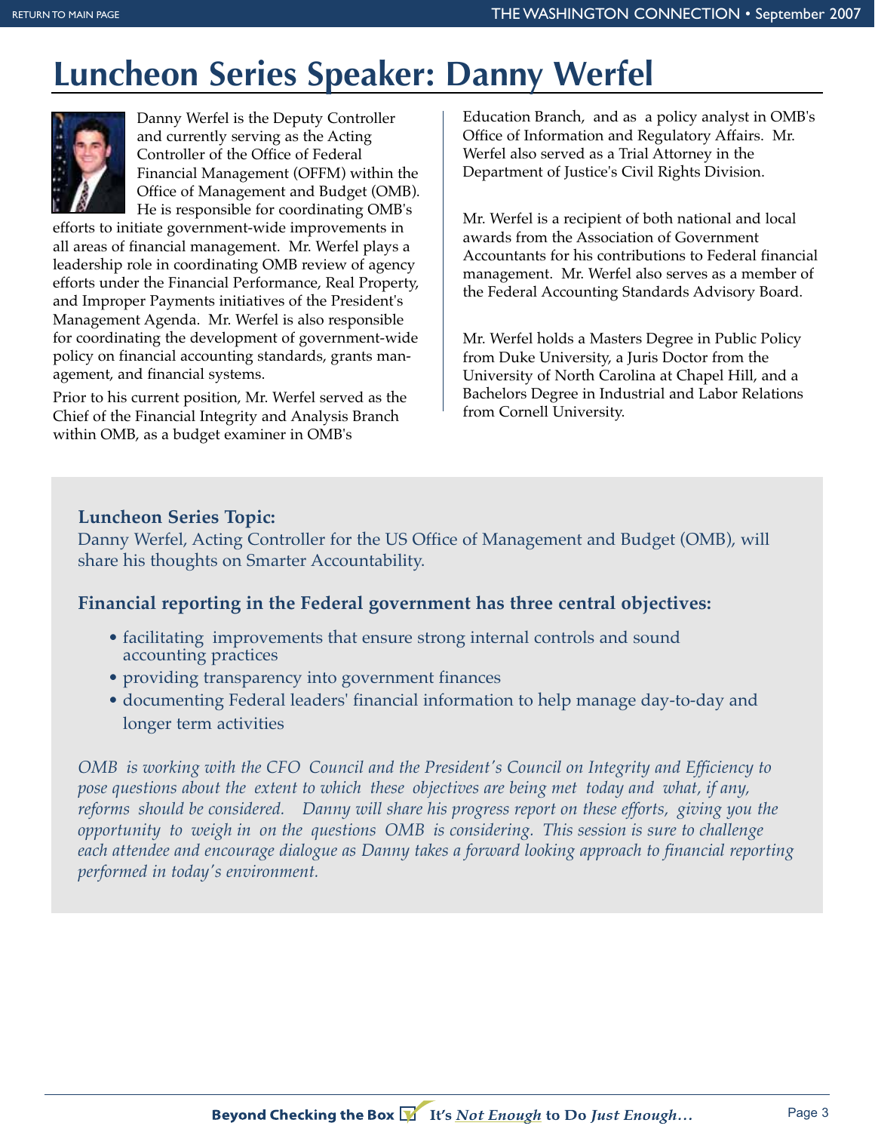## **Luncheon Series Speaker: Danny Werfel**



Danny Werfel is the Deputy Controller and currently serving as the Acting Controller of the Office of Federal Financial Management (OFFM) within the Office of Management and Budget (OMB). He is responsible for coordinating OMB's

efforts to initiate government-wide improvements in all areas of financial management. Mr. Werfel plays a leadership role in coordinating OMB review of agency efforts under the Financial Performance, Real Property, and Improper Payments initiatives of the President's Management Agenda. Mr. Werfel is also responsible for coordinating the development of government-wide policy on financial accounting standards, grants management, and financial systems.

Prior to his current position, Mr. Werfel served as the Chief of the Financial Integrity and Analysis Branch within OMB, as a budget examiner in OMB's

Education Branch, and as a policy analyst in OMB's Office of Information and Regulatory Affairs. Mr. Werfel also served as a Trial Attorney in the Department of Justice's Civil Rights Division.

Mr. Werfel is a recipient of both national and local awards from the Association of Government Accountants for his contributions to Federal financial management. Mr. Werfel also serves as a member of the Federal Accounting Standards Advisory Board.

Mr. Werfel holds a Masters Degree in Public Policy from Duke University, a Juris Doctor from the University of North Carolina at Chapel Hill, and a Bachelors Degree in Industrial and Labor Relations from Cornell University.

#### **Luncheon Series Topic:**

Danny Werfel, Acting Controller for the US Office of Management and Budget (OMB), will share his thoughts on Smarter Accountability.

#### **Financial reporting in the Federal government has three central objectives:**

- facilitating improvements that ensure strong internal controls and sound accounting practices
- providing transparency into government finances
- documenting Federal leaders' financial information to help manage day-to-day and longer term activities

*OMB is working with the CFO Council and the President's Council on Integrity and Efficiency to pose questions about the extent to which these objectives are being met today and what, if any, reforms should be considered. Danny will share his progress report on these efforts, giving you the opportunity to weigh in on the questions OMB is considering. This session is sure to challenge each attendee and encourage dialogue as Danny takes a forward looking approach to financial reporting performed in today's environment.*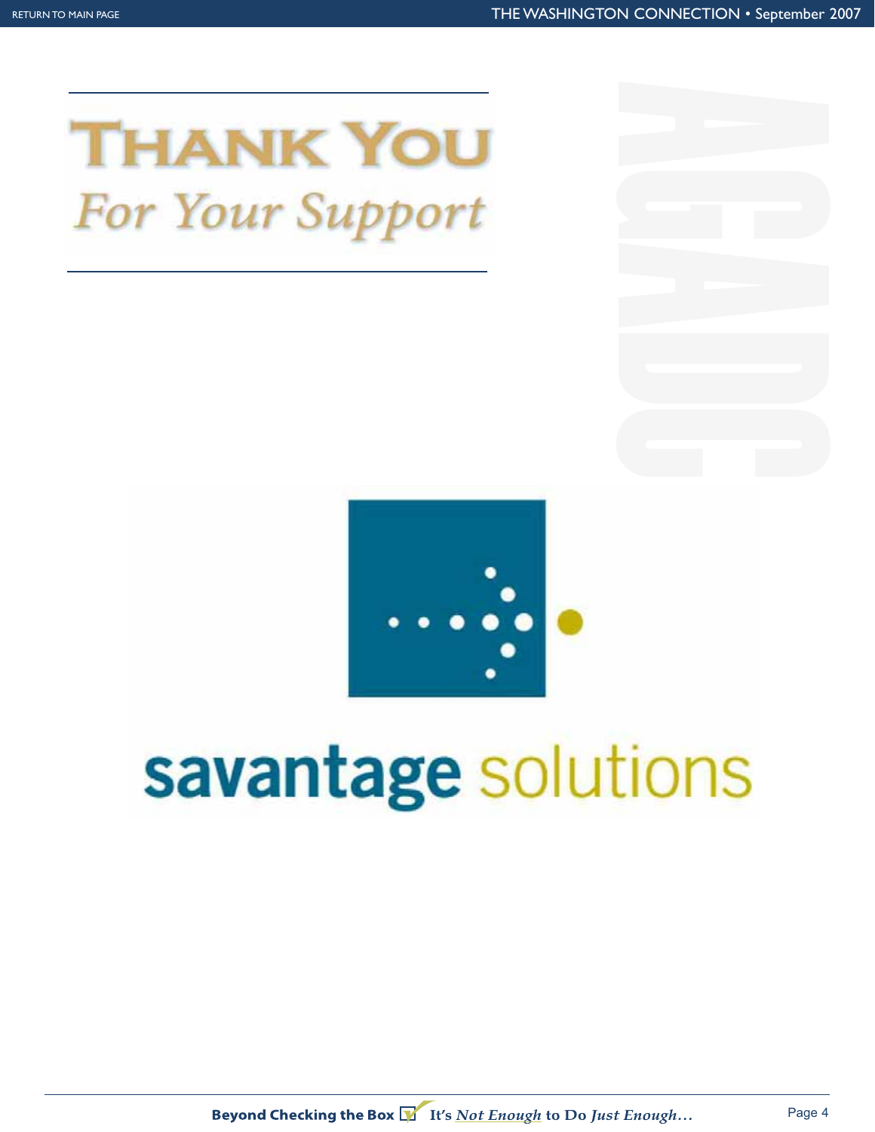



## savantage solutions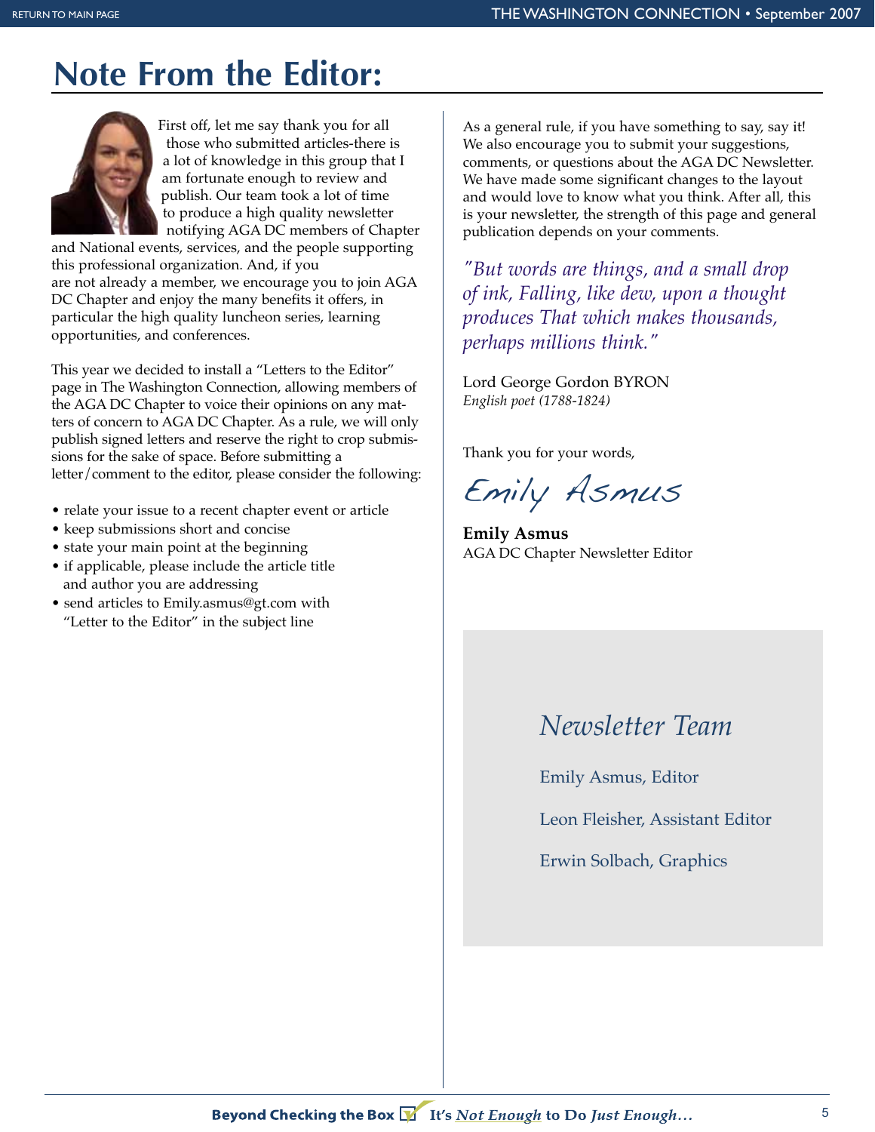## **Note From the Editor:**



First off, let me say thank you for all those who submitted articles-there is a lot of knowledge in this group that I am fortunate enough to review and publish. Our team took a lot of time to produce a high quality newsletter notifying AGA DC members of Chapter

and National events, services, and the people supporting this professional organization. And, if you are not already a member, we encourage you to join AGA DC Chapter and enjoy the many benefits it offers, in particular the high quality luncheon series, learning opportunities, and conferences.

This year we decided to install a "Letters to the Editor" page in The Washington Connection, allowing members of the AGA DC Chapter to voice their opinions on any matters of concern to AGA DC Chapter. As a rule, we will only publish signed letters and reserve the right to crop submissions for the sake of space. Before submitting a letter/comment to the editor, please consider the following:

- relate your issue to a recent chapter event or article
- keep submissions short and concise
- state your main point at the beginning
- if applicable, please include the article title and author you are addressing
- send articles to Emily.asmus@gt.com with "Letter to the Editor" in the subject line

As a general rule, if you have something to say, say it! We also encourage you to submit your suggestions, comments, or questions about the AGA DC Newsletter. We have made some significant changes to the layout and would love to know what you think. After all, this is your newsletter, the strength of this page and general publication depends on your comments.

*"But words are things, and a small drop of ink, Falling, like dew, upon a thought produces That which makes thousands, perhaps millions think."* 

Lord George Gordon BYRON *English poet (1788-1824)*

Thank you for your words,

Emily Asmus

**Emily Asmus** AGA DC Chapter Newsletter Editor

### *Newsletter Team*

Emily Asmus, Editor

Leon Fleisher, Assistant Editor

Erwin Solbach, Graphics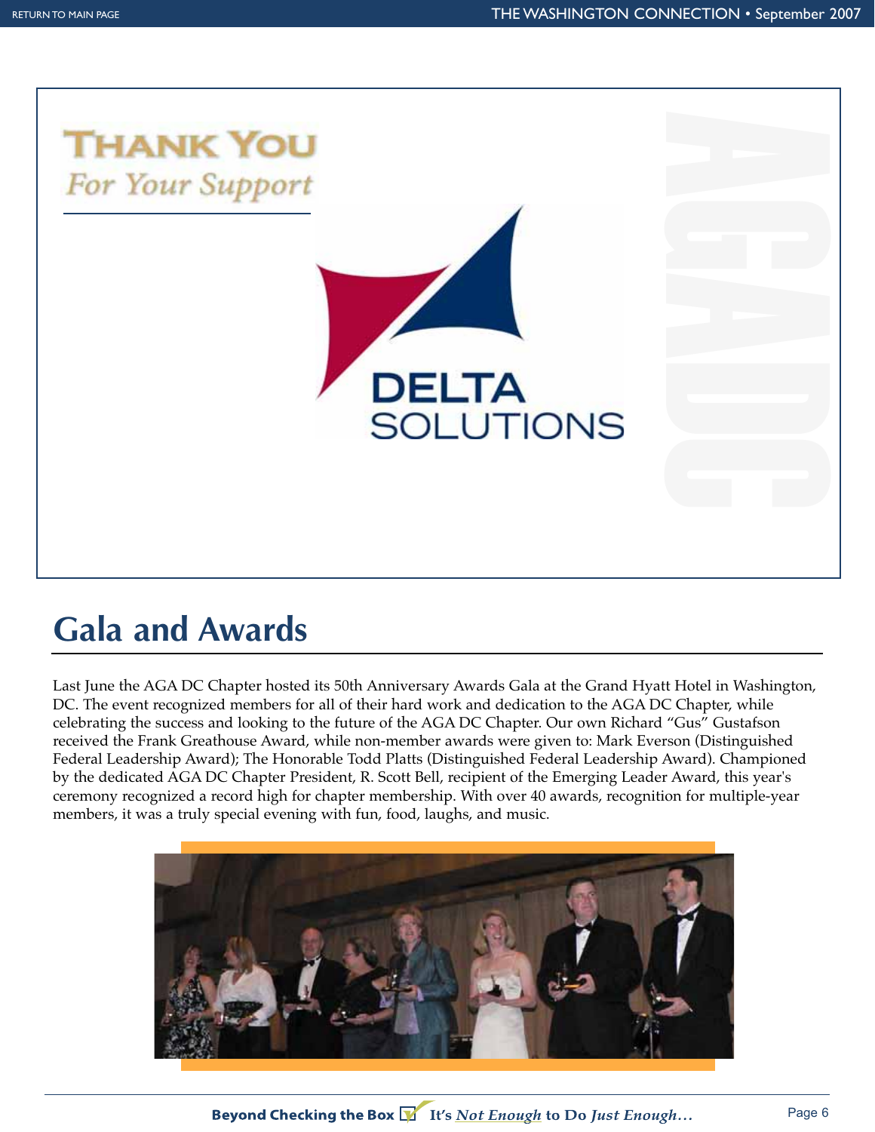

## **Gala and Awards**

Last June the AGA DC Chapter hosted its 50th Anniversary Awards Gala at the Grand Hyatt Hotel in Washington, DC. The event recognized members for all of their hard work and dedication to the AGA DC Chapter, while celebrating the success and looking to the future of the AGA DC Chapter. Our own Richard "Gus" Gustafson received the Frank Greathouse Award, while non-member awards were given to: Mark Everson (Distinguished Federal Leadership Award); The Honorable Todd Platts (Distinguished Federal Leadership Award). Championed by the dedicated AGA DC Chapter President, R. Scott Bell, recipient of the Emerging Leader Award, this year's ceremony recognized a record high for chapter membership. With over 40 awards, recognition for multiple-year members, it was a truly special evening with fun, food, laughs, and music.



Beyond Checking the Box  $\sum$  It's Not Enough to Do Just Enough...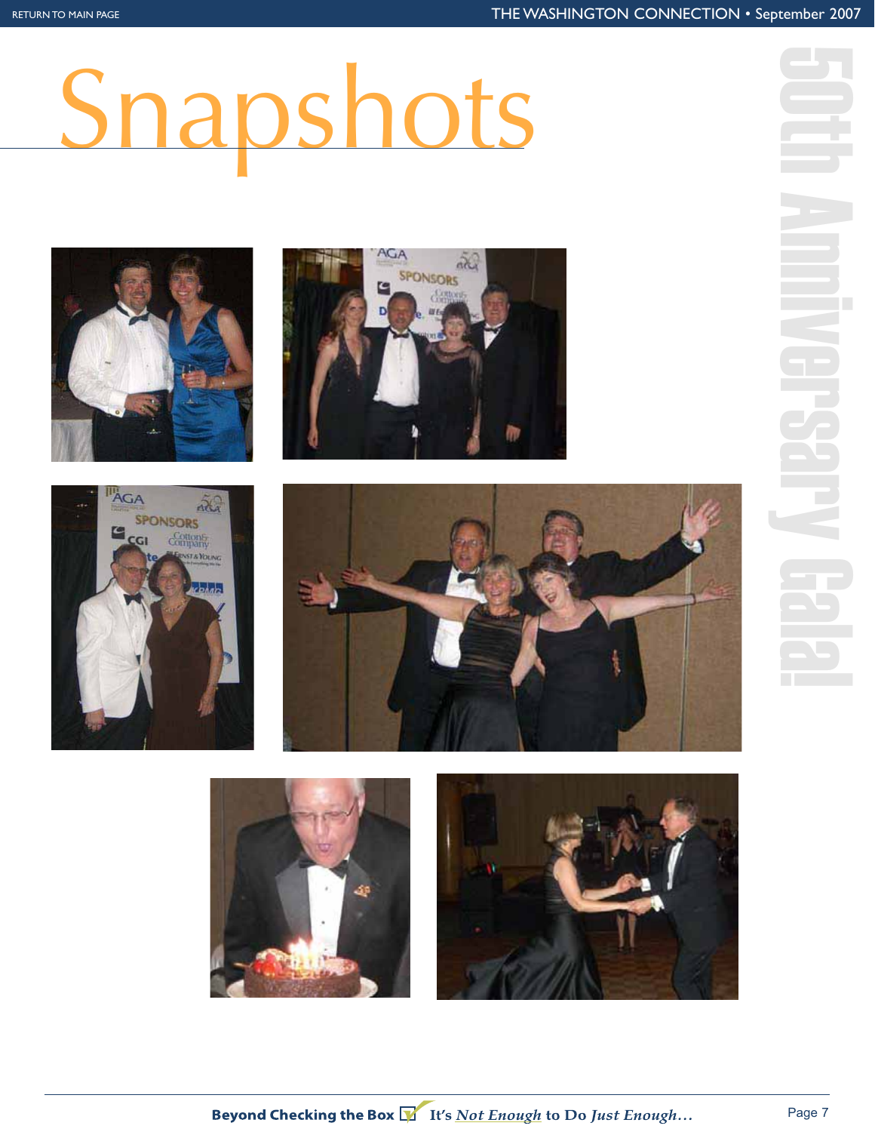# Snapshots











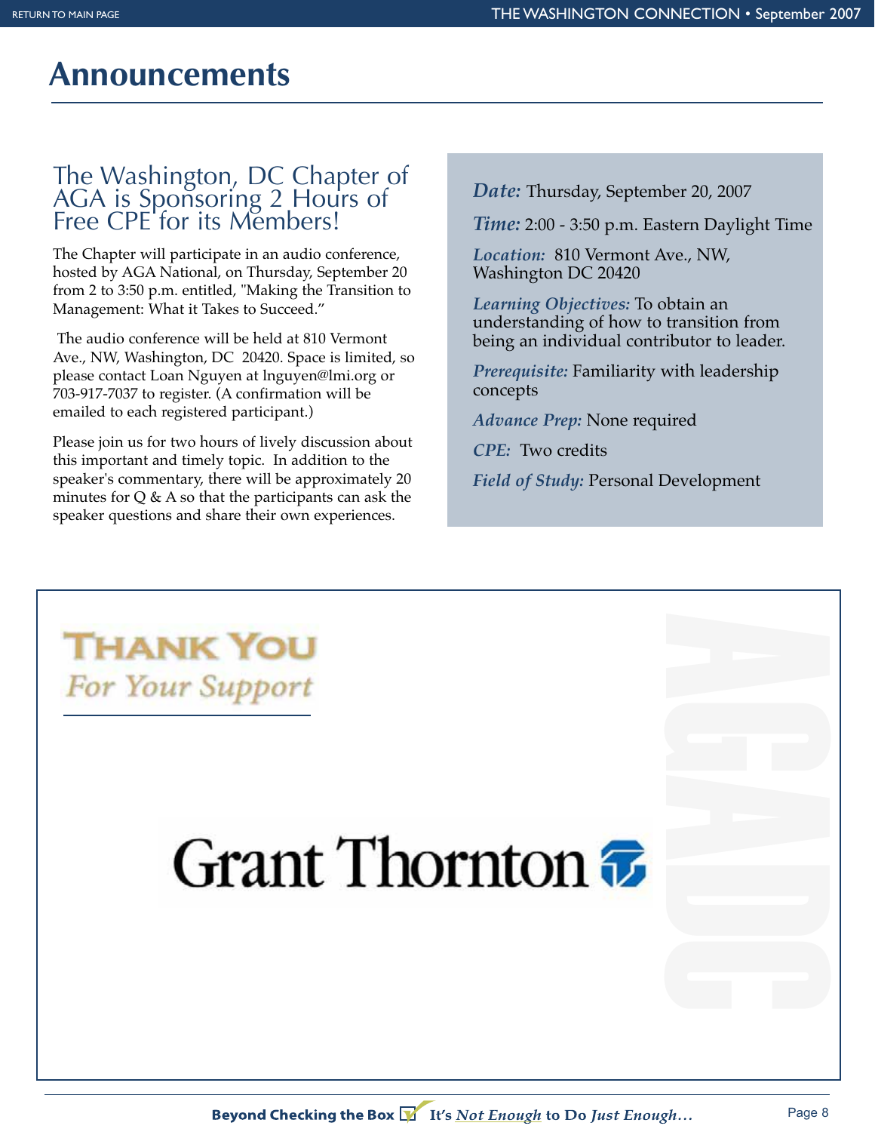### **Announcements**

#### The Washington, DC Chapter of AGA is Sponsoring 2 Hours of Free CPE for its Members!

The Chapter will participate in an audio conference, hosted by AGA National, on Thursday, September 20 from 2 to 3:50 p.m. entitled, "Making the Transition to Management: What it Takes to Succeed."

The audio conference will be held at 810 Vermont Ave., NW, Washington, DC 20420. Space is limited, so please contact Loan Nguyen at lnguyen@lmi.org or 703-917-7037 to register. (A confirmation will be emailed to each registered participant.)

Please join us for two hours of lively discussion about this important and timely topic. In addition to the speaker's commentary, there will be approximately 20 minutes for  $Q \& A$  so that the participants can ask the speaker questions and share their own experiences.

*Date:* Thursday, September 20, 2007

*Time:* 2:00 - 3:50 p.m. Eastern Daylight Time

*Location:* 810 Vermont Ave., NW, Washington DC 20420

*Learning Objectives:* To obtain an understanding of how to transition from being an individual contributor to leader.

*Prerequisite:* Familiarity with leadership concepts

*Advance Prep:* None required

*CPE:* Two credits

*Field of Study:* Personal Development

**THANK YOU** For Your Support

## Grant Thornton  $\bar{x}$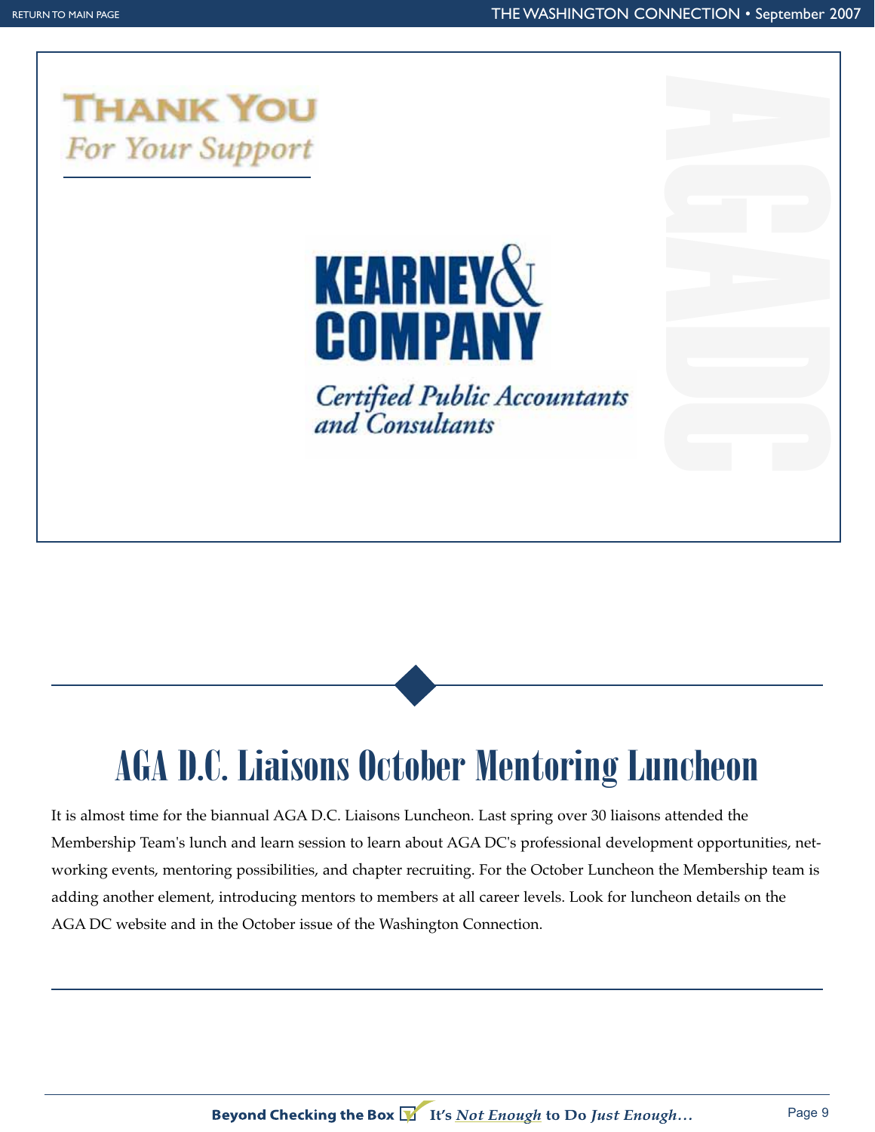

## **KEARNEY&** COMPANY

**Certified Public Accountants** and Consultants



est time for the biannual AGA D.C. Liaisons Luncheon. Last spring over 30 liaisons attended the It is almost time for the biannual AGA D.C. Liaisons Luncheon. Last spring over 30 liaisons attended the Membership Team's lunch and learn session to learn about AGA DC's professional development opportunities, networking events, mentoring possibilities, and chapter recruiting. For the October Luncheon the Membership team is adding another element, introducing mentors to members at all career levels. Look for luncheon details on the AGA DC website and in the October issue of the Washington Connection.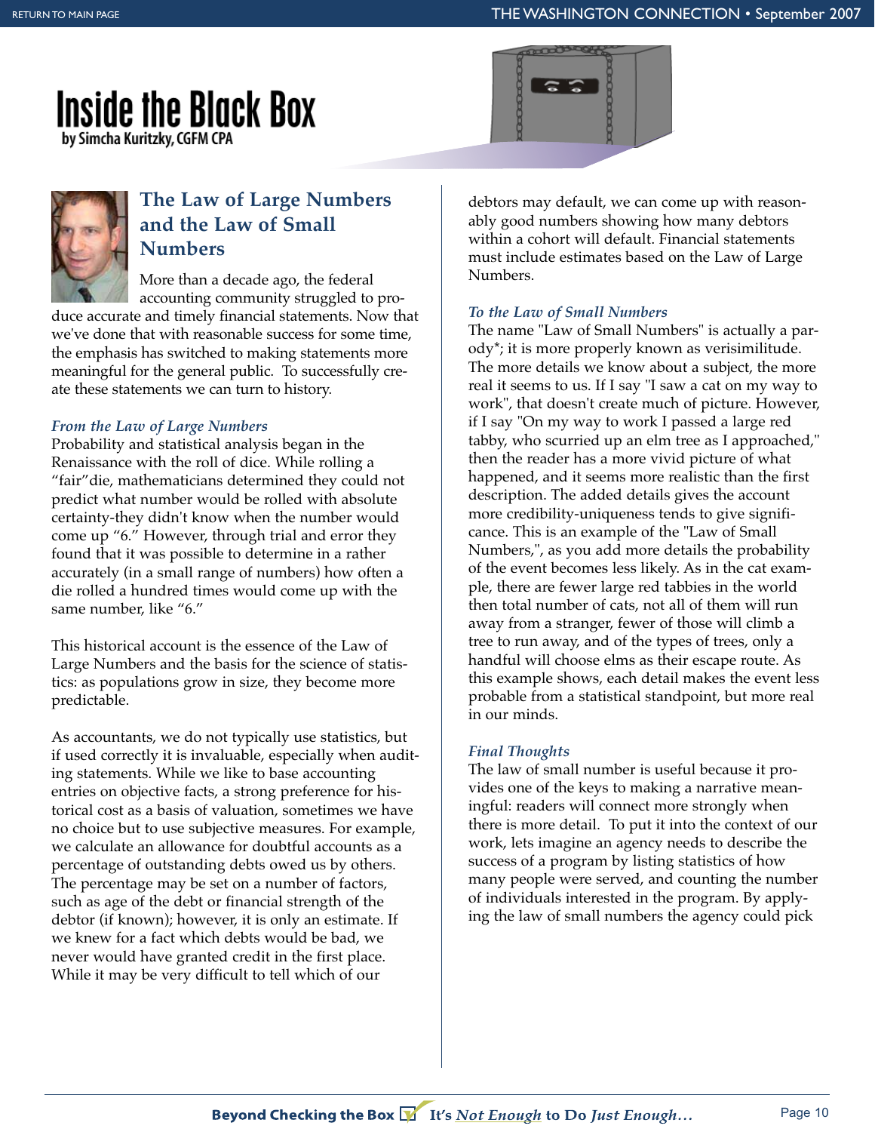## **Inside the Black Box**

by Simcha Kuritzky, CGFM CPA





#### **The Law of Large Numbers and the Law of Small Numbers**

More than a decade ago, the federal accounting community struggled to pro-

duce accurate and timely financial statements. Now that we've done that with reasonable success for some time, the emphasis has switched to making statements more meaningful for the general public. To successfully create these statements we can turn to history.

#### *From the Law of Large Numbers*

Probability and statistical analysis began in the Renaissance with the roll of dice. While rolling a "fair"die, mathematicians determined they could not predict what number would be rolled with absolute certainty-they didn't know when the number would come up "6." However, through trial and error they found that it was possible to determine in a rather accurately (in a small range of numbers) how often a die rolled a hundred times would come up with the same number, like "6."

This historical account is the essence of the Law of Large Numbers and the basis for the science of statistics: as populations grow in size, they become more predictable.

As accountants, we do not typically use statistics, but if used correctly it is invaluable, especially when auditing statements. While we like to base accounting entries on objective facts, a strong preference for historical cost as a basis of valuation, sometimes we have no choice but to use subjective measures. For example, we calculate an allowance for doubtful accounts as a percentage of outstanding debts owed us by others. The percentage may be set on a number of factors, such as age of the debt or financial strength of the debtor (if known); however, it is only an estimate. If we knew for a fact which debts would be bad, we never would have granted credit in the first place. While it may be very difficult to tell which of our

debtors may default, we can come up with reasonably good numbers showing how many debtors within a cohort will default. Financial statements must include estimates based on the Law of Large Numbers.

#### *To the Law of Small Numbers*

The name "Law of Small Numbers" is actually a parody\*; it is more properly known as verisimilitude. The more details we know about a subject, the more real it seems to us. If I say "I saw a cat on my way to work", that doesn't create much of picture. However, if I say "On my way to work I passed a large red tabby, who scurried up an elm tree as I approached," then the reader has a more vivid picture of what happened, and it seems more realistic than the first description. The added details gives the account more credibility-uniqueness tends to give significance. This is an example of the "Law of Small Numbers,", as you add more details the probability of the event becomes less likely. As in the cat example, there are fewer large red tabbies in the world then total number of cats, not all of them will run away from a stranger, fewer of those will climb a tree to run away, and of the types of trees, only a handful will choose elms as their escape route. As this example shows, each detail makes the event less probable from a statistical standpoint, but more real in our minds.

#### *Final Thoughts*

The law of small number is useful because it provides one of the keys to making a narrative meaningful: readers will connect more strongly when there is more detail. To put it into the context of our work, lets imagine an agency needs to describe the success of a program by listing statistics of how many people were served, and counting the number of individuals interested in the program. By applying the law of small numbers the agency could pick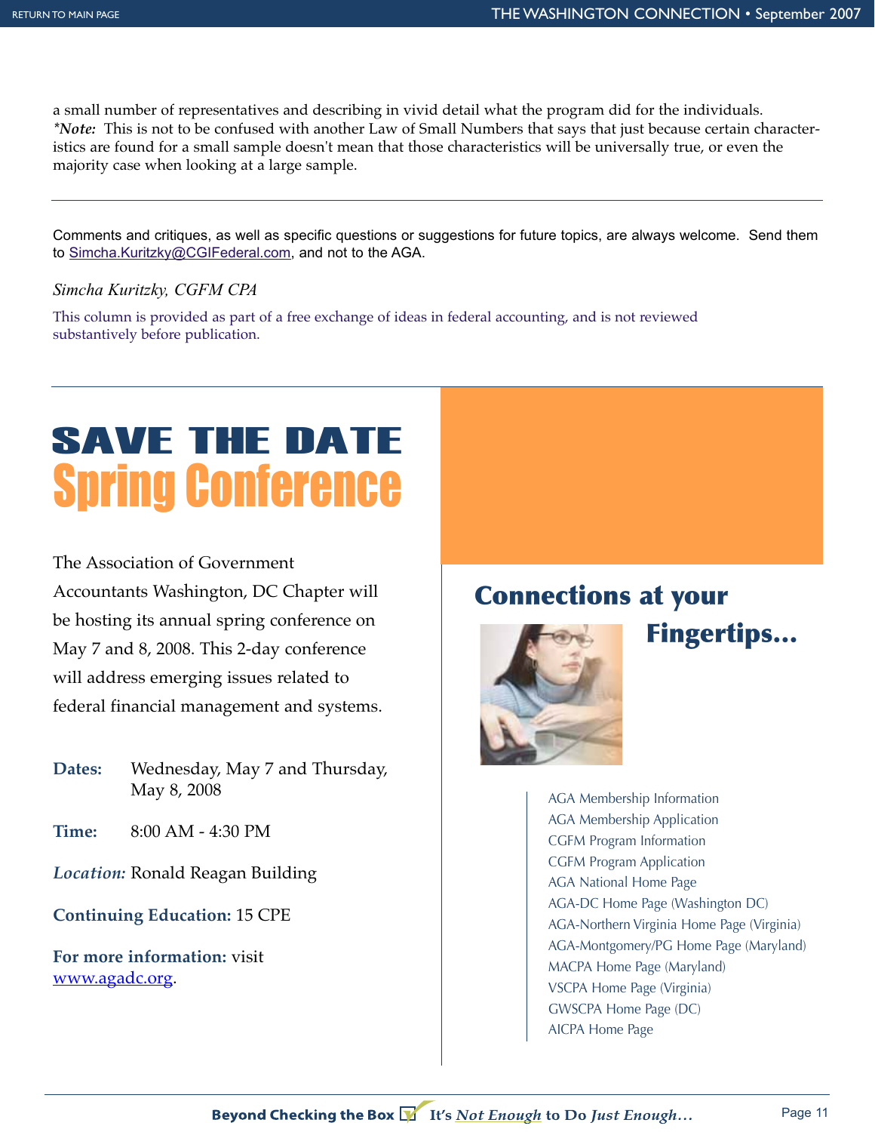a small number of representatives and describing in vivid detail what the program did for the individuals. *\*Note:* This is not to be confused with another Law of Small Numbers that says that just because certain characteristics are found for a small sample doesn't mean that those characteristics will be universally true, or even the majority case when looking at a large sample.

Comments and critiques, as well as specific questions or suggestions for future topics, are always welcome. Send them to Simcha.Kuritzky@CGIFederal.com, and not to the AGA.

#### *Simcha Kuritzky, CGFM CPA*

This column is provided as part of a free exchange of ideas in federal accounting, and is not reviewed substantively before publication.

## Spring Conference SAVE THE DATE

The Association of Government Accountants Washington, DC Chapter will be hosting its annual spring conference on May 7 and 8, 2008. This 2-day conference will address emerging issues related to federal financial management and systems.

- **Dates:** Wednesday, May 7 and Thursday, May 8, 2008
- **Time:** 8:00 AM 4:30 PM

*Location:* Ronald Reagan Building

**Continuing Education:** 15 CPE

**For more information:** visit www.agadc.org.

### **Connections at your**



**Fingertips…**

AGA Membership Information AGA Membership Application CGFM Program Information CGFM Program Application AGA National Home Page AGA-DC Home Page (Washington DC) AGA-Northern Virginia Home Page (Virginia) AGA-Montgomery/PG Home Page (Maryland) MACPA Home Page (Maryland) VSCPA Home Page (Virginia) GWSCPA Home Page (DC) AICPA Home Page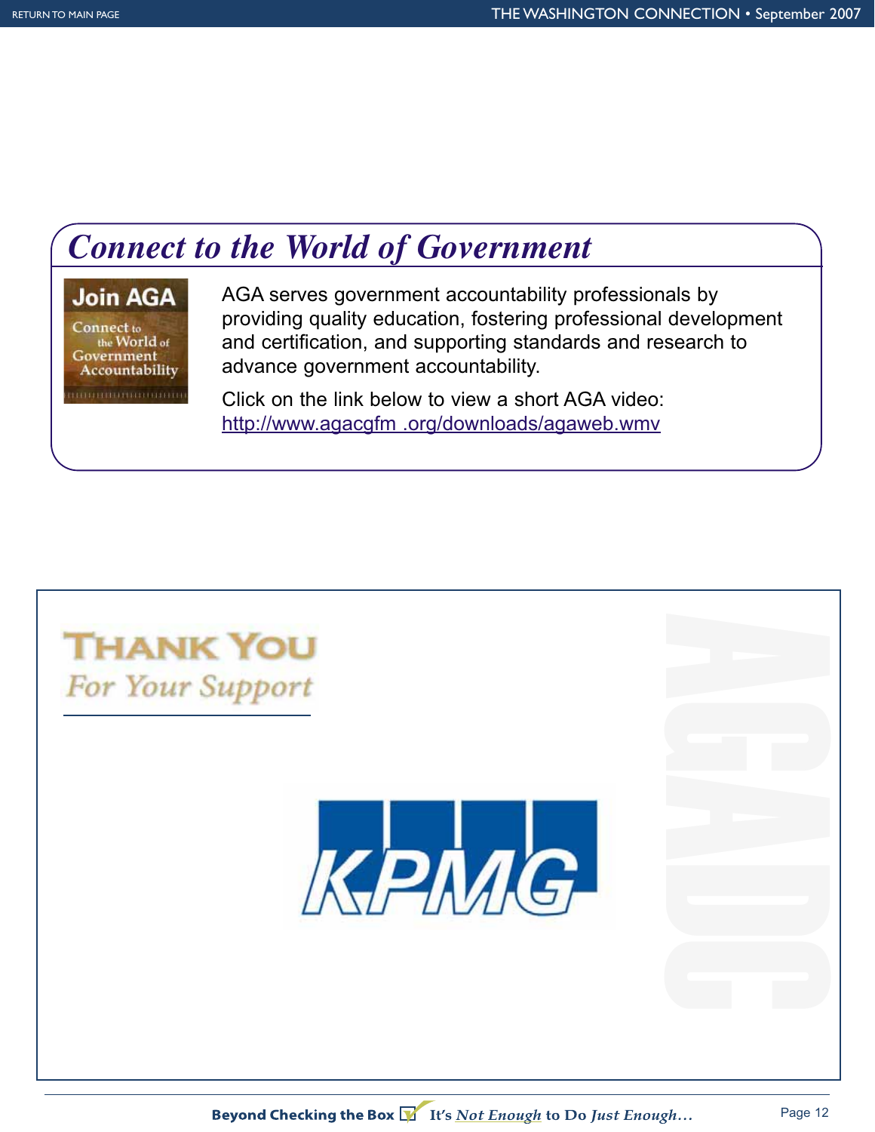## *Connect to the World of Government*

#### **Join AGA**

Connect to the World of Government Accountability minimumanin

AGA serves government accountability professionals by providing quality education, fostering professional development and certification, and supporting standards and research to advance government accountability.

Click on the link below to view a short AGA video: http://www.agacgfm .org/downloads/agaweb.wmv

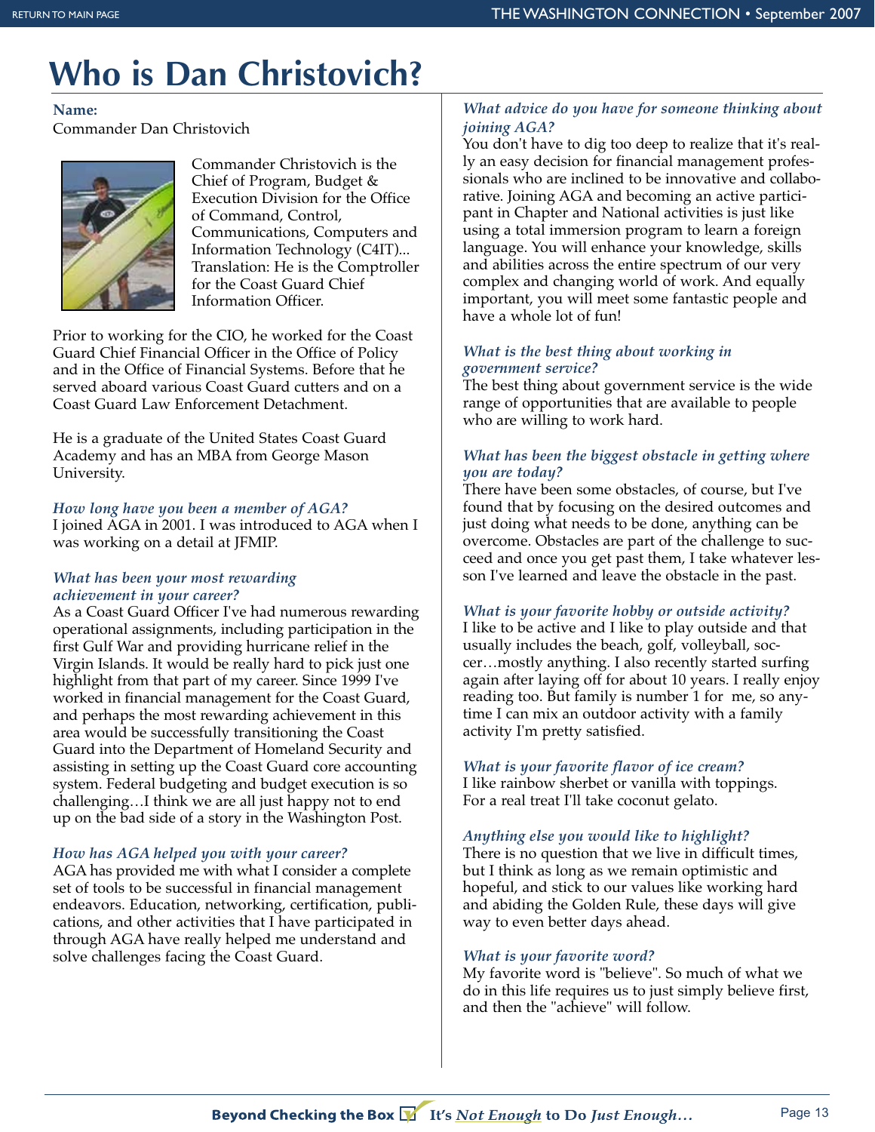## **Who is Dan Christovich?**

#### **Name:**

Commander Dan Christovich



Commander Christovich is the Chief of Program, Budget & Execution Division for the Office of Command, Control, Communications, Computers and Information Technology (C4IT)... Translation: He is the Comptroller for the Coast Guard Chief Information Officer.

Prior to working for the CIO, he worked for the Coast Guard Chief Financial Officer in the Office of Policy and in the Office of Financial Systems. Before that he served aboard various Coast Guard cutters and on a Coast Guard Law Enforcement Detachment.

He is a graduate of the United States Coast Guard Academy and has an MBA from George Mason University.

#### *How long have you been a member of AGA?*

I joined AGA in 2001. I was introduced to AGA when I was working on a detail at JFMIP.

#### *What has been your most rewarding achievement in your career?*

As a Coast Guard Officer I've had numerous rewarding operational assignments, including participation in the first Gulf War and providing hurricane relief in the Virgin Islands. It would be really hard to pick just one highlight from that part of my career. Since 1999 I've worked in financial management for the Coast Guard, and perhaps the most rewarding achievement in this area would be successfully transitioning the Coast Guard into the Department of Homeland Security and assisting in setting up the Coast Guard core accounting system. Federal budgeting and budget execution is so challenging…I think we are all just happy not to end up on the bad side of a story in the Washington Post.

#### *How has AGA helped you with your career?*

AGA has provided me with what I consider a complete set of tools to be successful in financial management endeavors. Education, networking, certification, publications, and other activities that I have participated in through AGA have really helped me understand and solve challenges facing the Coast Guard.

#### *What advice do you have for someone thinking about joining AGA?*

You don't have to dig too deep to realize that it's really an easy decision for financial management professionals who are inclined to be innovative and collaborative. Joining AGA and becoming an active participant in Chapter and National activities is just like using a total immersion program to learn a foreign language. You will enhance your knowledge, skills and abilities across the entire spectrum of our very complex and changing world of work. And equally important, you will meet some fantastic people and have a whole lot of fun!

#### *What is the best thing about working in government service?*

The best thing about government service is the wide range of opportunities that are available to people who are willing to work hard.

#### *What has been the biggest obstacle in getting where you are today?*

There have been some obstacles, of course, but I've found that by focusing on the desired outcomes and just doing what needs to be done, anything can be overcome. Obstacles are part of the challenge to succeed and once you get past them, I take whatever lesson I've learned and leave the obstacle in the past.

#### *What is your favorite hobby or outside activity?*

I like to be active and I like to play outside and that usually includes the beach, golf, volleyball, soccer…mostly anything. I also recently started surfing again after laying off for about 10 years. I really enjoy reading too. But family is number 1 for me, so anytime I can mix an outdoor activity with a family activity I'm pretty satisfied.

#### *What is your favorite flavor of ice cream?*

I like rainbow sherbet or vanilla with toppings. For a real treat I'll take coconut gelato.

#### *Anything else you would like to highlight?*

There is no question that we live in difficult times, but I think as long as we remain optimistic and hopeful, and stick to our values like working hard and abiding the Golden Rule, these days will give way to even better days ahead.

#### *What is your favorite word?*

My favorite word is "believe". So much of what we do in this life requires us to just simply believe first, and then the "achieve" will follow.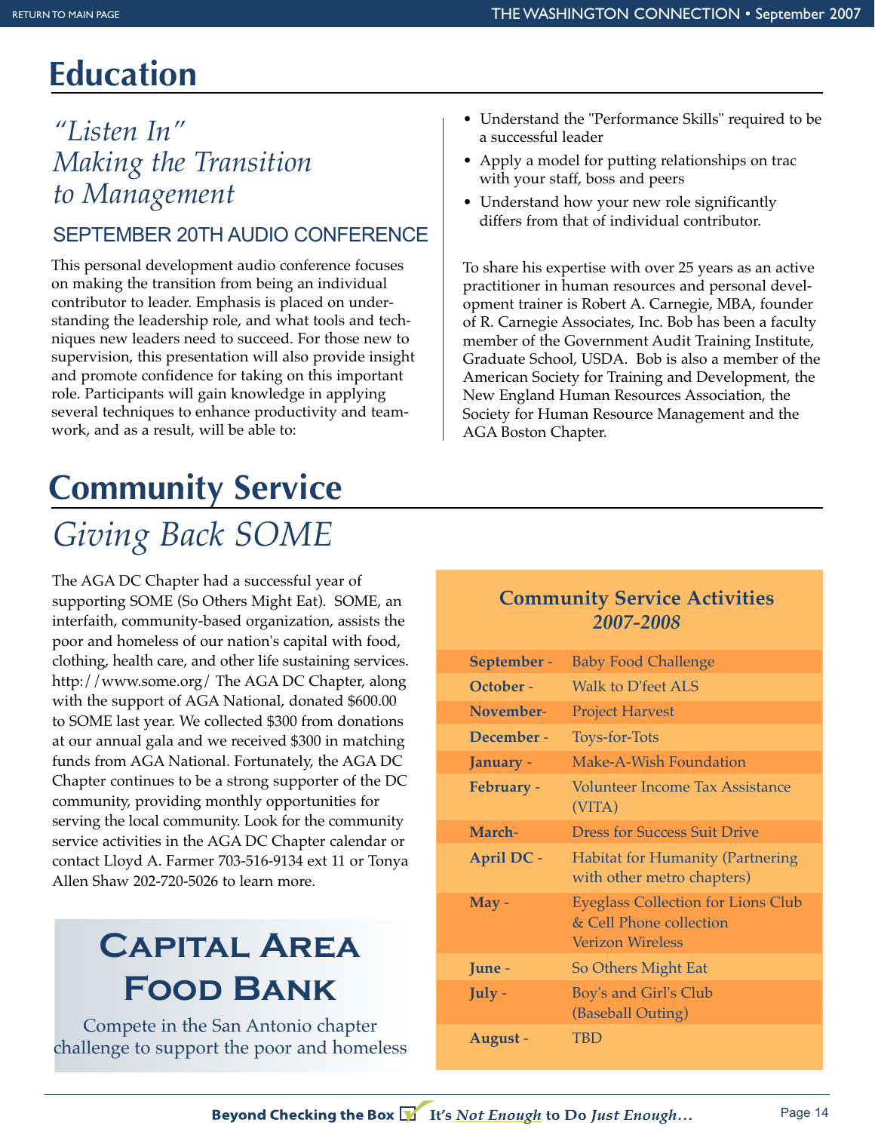## **Education**

### *"Listen In" Making the Transition to Management*

#### SEPTEMBER 20TH AUDIO CONFERENCE

This personal development audio conference focuses on making the transition from being an individual contributor to leader. Emphasis is placed on understanding the leadership role, and what tools and techniques new leaders need to succeed. For those new to supervision, this presentation will also provide insight and promote confidence for taking on this important role. Participants will gain knowledge in applying several techniques to enhance productivity and teamwork, and as a result, will be able to:

## **Community Service**

## *Giving Back SOME*

The AGA DC Chapter had a successful year of supporting SOME (So Others Might Eat). SOME, an interfaith, community-based organization, assists the poor and homeless of our nation's capital with food, clothing, health care, and other life sustaining services. http://www.some.org/ The AGA DC Chapter, along with the support of AGA National, donated \$600.00 to SOME last year. We collected \$300 from donations at our annual gala and we received \$300 in matching funds from AGA National. Fortunately, the AGA DC Chapter continues to be a strong supporter of the DC community, providing monthly opportunities for serving the local community. Look for the community service activities in the AGA DC Chapter calendar or contact Lloyd A. Farmer 703-516-9134 ext 11 or Tonya Allen Shaw 202-720-5026 to learn more.

## **Capital Area Food Bank**

Compete in the San Antonio chapter challenge to support the poor and homeless

- Understand the "Performance Skills" required to be a successful leader
- Apply a model for putting relationships on trac with your staff, boss and peers
- Understand how your new role significantly differs from that of individual contributor.

To share his expertise with over 25 years as an active practitioner in human resources and personal development trainer is Robert A. Carnegie, MBA, founder of R. Carnegie Associates, Inc. Bob has been a faculty member of the Government Audit Training Institute, Graduate School, USDA. Bob is also a member of the American Society for Training and Development, the New England Human Resources Association, the Society for Human Resource Management and the AGA Boston Chapter.

#### **Community Service Activities**  *2007-2008*

| September -       | <b>Baby Food Challenge</b>                                                                      |
|-------------------|-------------------------------------------------------------------------------------------------|
| October -         | Walk to D'feet ALS                                                                              |
| November-         | <b>Project Harvest</b>                                                                          |
| December -        | Toys-for-Tots                                                                                   |
| January -         | Make-A-Wish Foundation                                                                          |
| February -        | <b>Volunteer Income Tax Assistance</b><br>(VITA)                                                |
| March-            | <b>Dress for Success Suit Drive</b>                                                             |
| <b>April DC -</b> | <b>Habitat for Humanity (Partnering</b><br>with other metro chapters)                           |
| $May -$           | <b>Eyeglass Collection for Lions Club</b><br>& Cell Phone collection<br><b>Verizon Wireless</b> |
| June -            | So Others Might Eat                                                                             |
| July -            | Boy's and Girl's Club<br>(Baseball Outing)                                                      |
| August -          | TBD                                                                                             |

Beyond Checking the Box V It's Not Enough to Do Just Enough...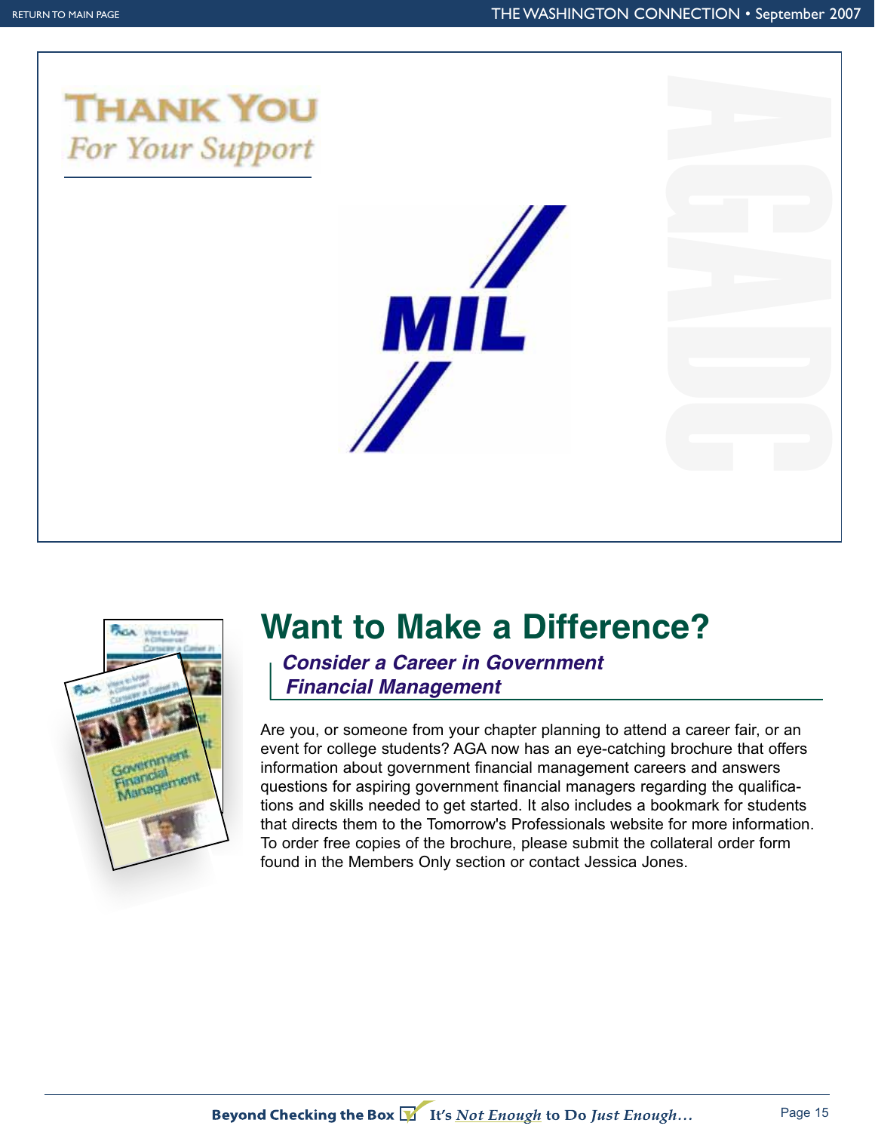





## **Want to Make a Difference?**

*Consider a Career in Government Financial Management*

Are you, or someone from your chapter planning to attend a career fair, or an event for college students? AGA now has an eye-catching brochure that offers information about government financial management careers and answers questions for aspiring government financial managers regarding the qualifications and skills needed to get started. It also includes a bookmark for students that directs them to the Tomorrow's Professionals website for more information. To order free copies of the brochure, please submit the collateral order form found in the Members Only section or contact Jessica Jones.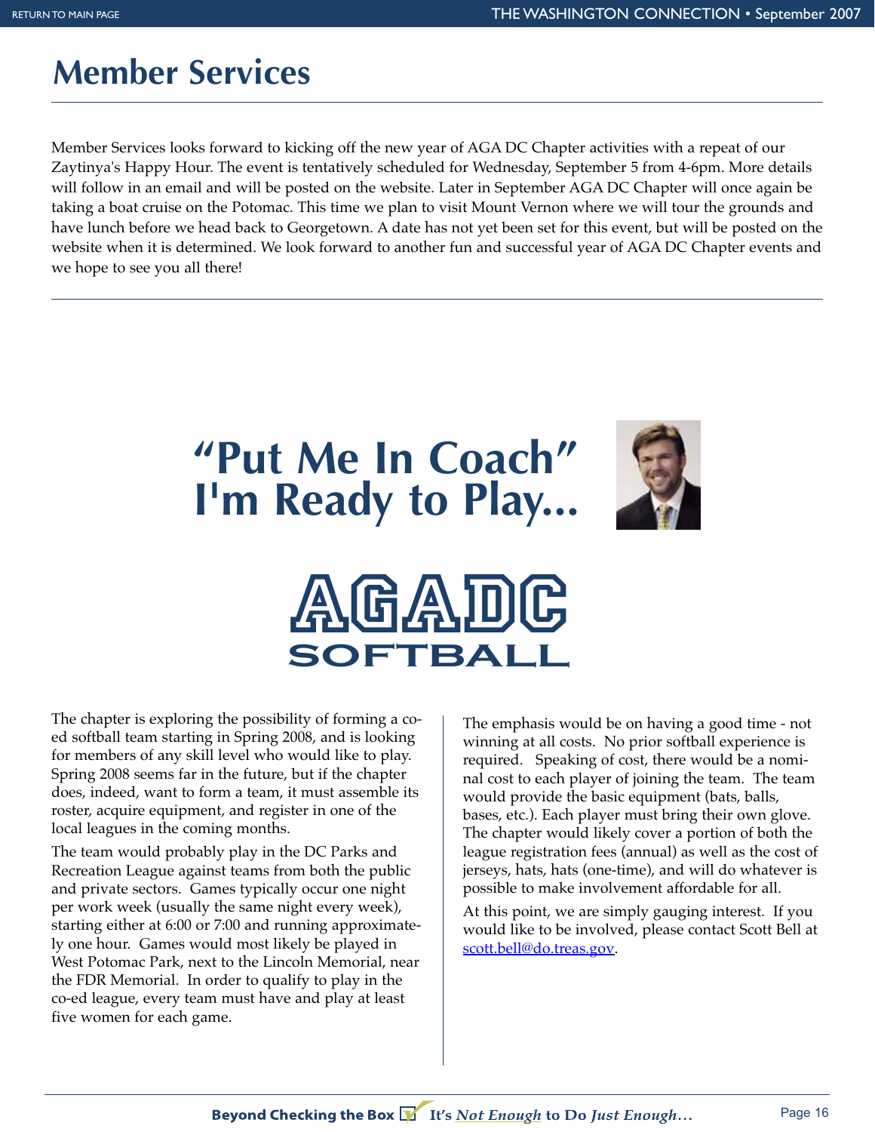## **Member Services**

Member Services looks forward to kicking off the new year of AGA DC Chapter activities with a repeat of our Zaytinya's Happy Hour. The event is tentatively scheduled for Wednesday, September 5 from 4-6pm. More details will follow in an email and will be posted on the website. Later in September AGA DC Chapter will once again be taking a boat cruise on the Potomac. This time we plan to visit Mount Vernon where we will tour the grounds and have lunch before we head back to Georgetown. A date has not yet been set for this event, but will be posted on the website when it is determined. We look forward to another fun and successful year of AGA DC Chapter events and we hope to see you all there!

## **"Put Me In Coach" I'm Ready to Play...**





The chapter is exploring the possibility of forming a coed softball team starting in Spring 2008, and is looking for members of any skill level who would like to play. Spring 2008 seems far in the future, but if the chapter does, indeed, want to form a team, it must assemble its roster, acquire equipment, and register in one of the local leagues in the coming months.

The team would probably play in the DC Parks and Recreation League against teams from both the public and private sectors. Games typically occur one night per work week (usually the same night every week), starting either at 6:00 or 7:00 and running approximately one hour. Games would most likely be played in West Potomac Park, next to the Lincoln Memorial, near the FDR Memorial. In order to qualify to play in the co-ed league, every team must have and play at least five women for each game.

The emphasis would be on having a good time - not winning at all costs. No prior softball experience is required. Speaking of cost, there would be a nominal cost to each player of joining the team. The team would provide the basic equipment (bats, balls, bases, etc.). Each player must bring their own glove. The chapter would likely cover a portion of both the league registration fees (annual) as well as the cost of jerseys, hats, hats (one-time), and will do whatever is possible to make involvement affordable for all.

At this point, we are simply gauging interest. If you would like to be involved, please contact Scott Bell at scott.bell@do.treas.gov.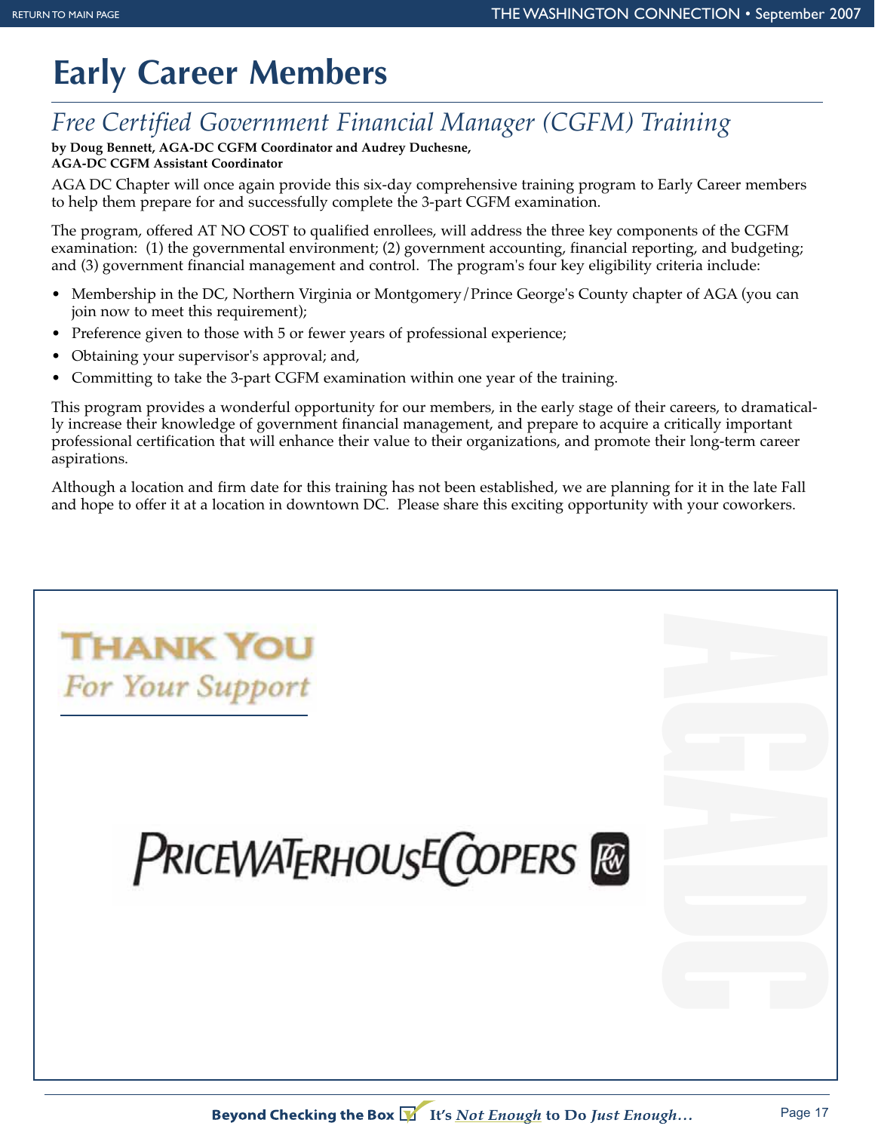## **Early Career Members**

### *Free Certified Government Financial Manager (CGFM) Training*

#### **by Doug Bennett, AGA-DC CGFM Coordinator and Audrey Duchesne, AGA-DC CGFM Assistant Coordinator**

AGA DC Chapter will once again provide this six-day comprehensive training program to Early Career members to help them prepare for and successfully complete the 3-part CGFM examination.

The program, offered AT NO COST to qualified enrollees, will address the three key components of the CGFM examination: (1) the governmental environment; (2) government accounting, financial reporting, and budgeting; and (3) government financial management and control. The program's four key eligibility criteria include:

- Membership in the DC, Northern Virginia or Montgomery/Prince George's County chapter of AGA (you can join now to meet this requirement);
- Preference given to those with 5 or fewer years of professional experience;
- Obtaining your supervisor's approval; and,
- Committing to take the 3-part CGFM examination within one year of the training.

This program provides a wonderful opportunity for our members, in the early stage of their careers, to dramatically increase their knowledge of government financial management, and prepare to acquire a critically important professional certification that will enhance their value to their organizations, and promote their long-term career aspirations.

Although a location and firm date for this training has not been established, we are planning for it in the late Fall and hope to offer it at a location in downtown DC. Please share this exciting opportunity with your coworkers.

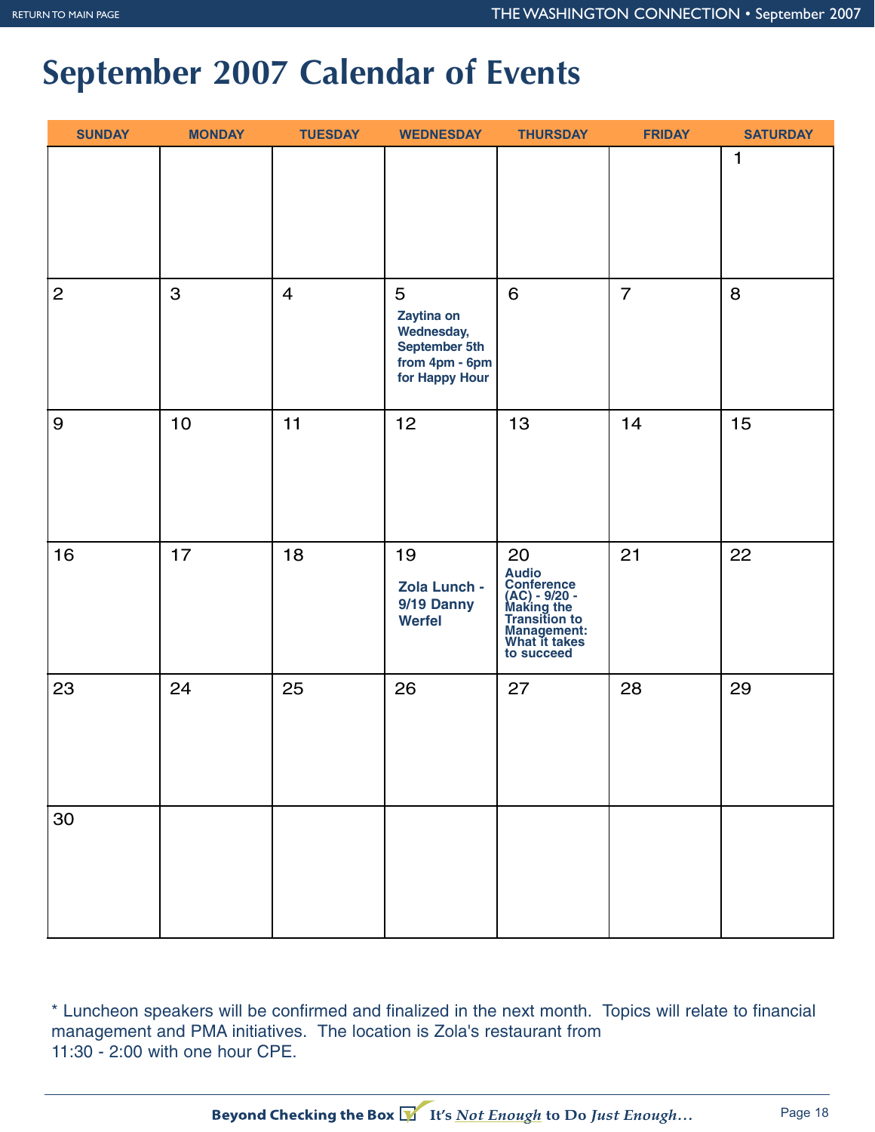## **September 2007 Calendar of Events**

| <b>SUNDAY</b>    | <b>MONDAY</b> | <b>TUESDAY</b> | <b>WEDNESDAY</b>                                                                          | <b>THURSDAY</b>                                                                                                         | <b>FRIDAY</b>  | <b>SATURDAY</b> |
|------------------|---------------|----------------|-------------------------------------------------------------------------------------------|-------------------------------------------------------------------------------------------------------------------------|----------------|-----------------|
|                  |               |                |                                                                                           |                                                                                                                         |                | $\mathbf{1}$    |
| $\mathbf{2}$     | 3             | $\overline{4}$ | 5<br>Zaytina on<br><b>Wednesday,</b><br>September 5th<br>from 4pm - 6pm<br>for Happy Hour | 6                                                                                                                       | $\overline{7}$ | 8               |
| $\boldsymbol{9}$ | $10$          | 11             | 12                                                                                        | 13                                                                                                                      | 14             | 15              |
| 16               | 17            | 18             | 19<br>Zola Lunch -<br>9/19 Danny<br><b>Werfel</b>                                         | 20<br>Audio<br>Conference<br>(AC) - 9/20 -<br>Making the<br>Transition to<br>Management:<br>What it takes<br>to succeed | 21             | 22              |
| 23               | 24            | 25             | 26                                                                                        | 27                                                                                                                      | 28             | 29              |
| 30               |               |                |                                                                                           |                                                                                                                         |                |                 |

\* Luncheon speakers will be confirmed and finalized in the next month. Topics will relate to financial management and PMA initiatives. The location is Zola's restaurant from 11:30 - 2:00 with one hour CPE.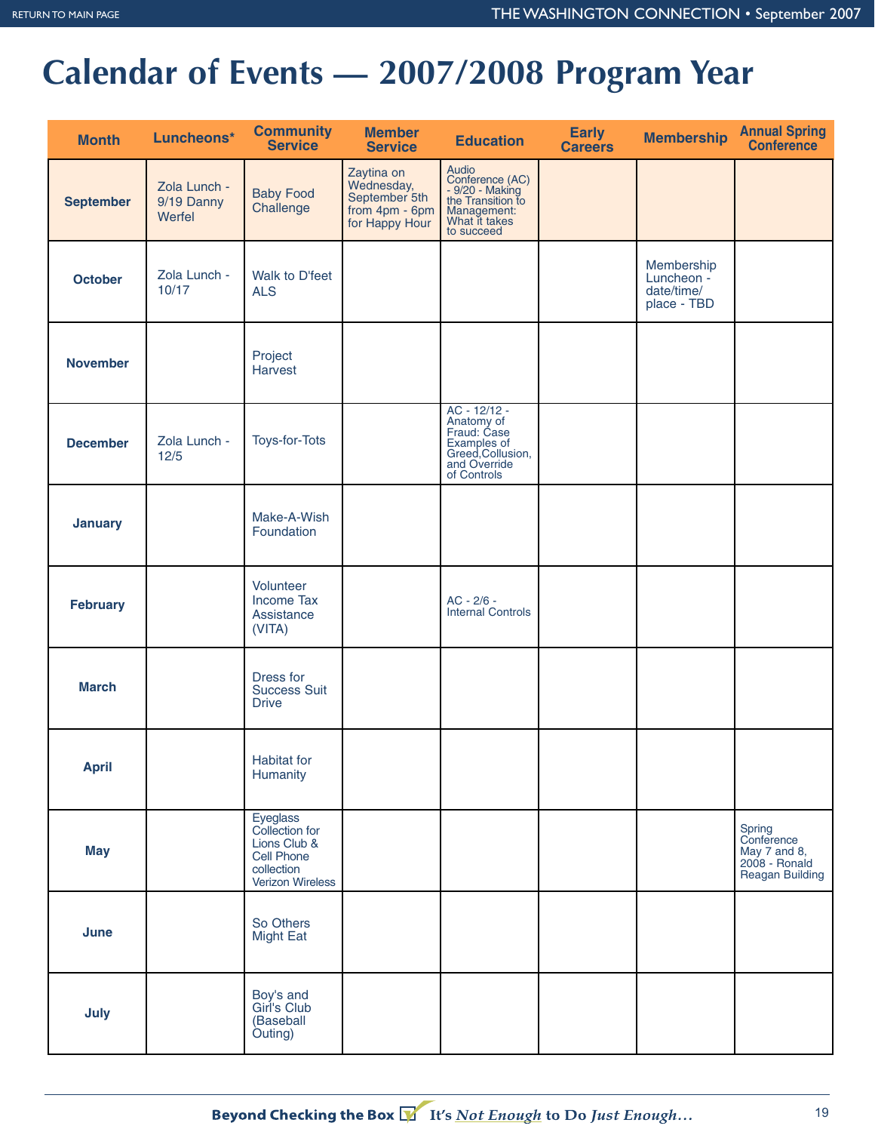## **Calendar of Events — 2007/2008 Program Year**

| <b>Month</b>     | Luncheons*                           | <b>Community</b><br><b>Service</b>                                                                | <b>Member</b><br><b>Service</b>                                                 | <b>Education</b>                                                                                                          | <b>Early</b><br><b>Careers</b> | <b>Membership</b>                                     | <b>Annual Spring<br/>Conference</b>                                             |
|------------------|--------------------------------------|---------------------------------------------------------------------------------------------------|---------------------------------------------------------------------------------|---------------------------------------------------------------------------------------------------------------------------|--------------------------------|-------------------------------------------------------|---------------------------------------------------------------------------------|
| <b>September</b> | Zola Lunch -<br>9/19 Danny<br>Werfel | <b>Baby Food</b><br>Challenge                                                                     | Zaytina on<br>Wednesday,<br>September 5th<br>from $4pm - 6pm$<br>for Happy Hour | Audio<br>Conference (AC)<br>- 9/20 - Making<br>the Transition to<br>Management:<br>What it takes<br>to succeed            |                                |                                                       |                                                                                 |
| <b>October</b>   | Zola Lunch -<br>10/17                | Walk to D'feet<br><b>ALS</b>                                                                      |                                                                                 |                                                                                                                           |                                | Membership<br>Luncheon -<br>date/time/<br>place - TBD |                                                                                 |
| <b>November</b>  |                                      | Project<br>Harvest                                                                                |                                                                                 |                                                                                                                           |                                |                                                       |                                                                                 |
| <b>December</b>  | Zola Lunch -<br>12/5                 | Toys-for-Tots                                                                                     |                                                                                 | AC - 12/12 -<br>AC - 12/12<br>Anatomy of<br>Fraud: Case<br>Examples of<br>Greed,Collusion,<br>and Override<br>of Controls |                                |                                                       |                                                                                 |
| <b>January</b>   |                                      | Make-A-Wish<br>Foundation                                                                         |                                                                                 |                                                                                                                           |                                |                                                       |                                                                                 |
| <b>February</b>  |                                      | Volunteer<br><b>Income Tax</b><br>Assistance<br>(VITA)                                            |                                                                                 | AC - 2/6 -<br><b>Internal Controls</b>                                                                                    |                                |                                                       |                                                                                 |
| <b>March</b>     |                                      | Dress for<br><b>Success Suit</b><br><b>Drive</b>                                                  |                                                                                 |                                                                                                                           |                                |                                                       |                                                                                 |
| <b>April</b>     |                                      | Habitat for<br>Humanity                                                                           |                                                                                 |                                                                                                                           |                                |                                                       |                                                                                 |
| <b>May</b>       |                                      | Eyeglass<br>Collection for<br>Lions Club &<br><b>Cell Phone</b><br>collection<br>Verizon Wireless |                                                                                 |                                                                                                                           |                                |                                                       | Spring<br>Conference<br>May 7 and 8,<br>2008 - Ronald<br><b>Reagan Building</b> |
| June             |                                      | So Others<br><b>Might Eat</b>                                                                     |                                                                                 |                                                                                                                           |                                |                                                       |                                                                                 |
| July             |                                      | Boy's and<br>Girl's Club<br>(Baseball<br>Outing)                                                  |                                                                                 |                                                                                                                           |                                |                                                       |                                                                                 |